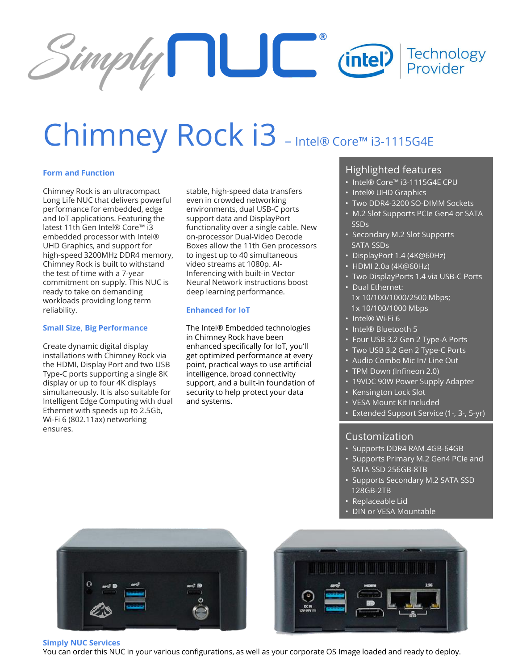

# Chimney Rock i3 - Intel® Core™ i3-1115G4E

## **Form and Function**

Chimney Rock is an ultracompact Long Life NUC that delivers powerful performance for embedded, edge and IoT applications. Featuring the latest 11th Gen Intel® Core™ i3 embedded processor with Intel® UHD Graphics, and support for high-speed 3200MHz DDR4 memory, Chimney Rock is built to withstand the test of time with a 7-year commitment on supply. This NUC is ready to take on demanding workloads providing long term reliability.

### **Small Size, Big Performance**

Create dynamic digital display installations with Chimney Rock via the HDMI, Display Port and two USB Type-C ports supporting a single 8K display or up to four 4K displays simultaneously. It is also suitable for Intelligent Edge Computing with dual Ethernet with speeds up to 2.5Gb, Wi-Fi 6 (802.11ax) networking ensures.

stable, high-speed data transfers even in crowded networking environments, dual USB-C ports support data and DisplayPort functionality over a single cable. New on-processor Dual-Video Decode Boxes allow the 11th Gen processors to ingest up to 40 simultaneous video streams at 1080p. AI-Inferencing with built-in Vector Neural Network instructions boost deep learning performance.

### **Enhanced for IoT**

The Intel® Embedded technologies in Chimney Rock have been enhanced specifically for IoT, you'll get optimized performance at every point, practical ways to use artificial intelligence, broad connectivity support, and a built-in foundation of security to help protect your data and systems.

## Highlighted features

- Intel® Core™ i3-1115G4E CPU
- Intel® UHD Graphics
- Two DDR4-3200 SO-DIMM Sockets
- M.2 Slot Supports PCIe Gen4 or SATA SSDs
- Secondary M.2 Slot Supports SATA SSDs
- DisplayPort 1.4 (4K@60Hz)
- HDMI 2.0a (4K@60Hz)
- Two DisplayPorts 1.4 via USB-C Ports
- Dual Ethernet: 1x 10/100/1000/2500 Mbps; 1x 10/100/1000 Mbps
- Intel® Wi-Fi 6
- Intel® Bluetooth 5
- Four USB 3.2 Gen 2 Type-A Ports
- Two USB 3.2 Gen 2 Type-C Ports
- Audio Combo Mic In/ Line Out
- TPM Down (Infineon 2.0)
- 19VDC 90W Power Supply Adapter
- Kensington Lock Slot
- VESA Mount Kit Included
- Extended Support Service (1-, 3-, 5-yr)

# Customization

- Supports DDR4 RAM 4GB-64GB
- Supports Primary M.2 Gen4 PCIe and SATA SSD 256GB-8TB
- Supports Secondary M.2 SATA SSD 128GB-2TB
- Replaceable Lid
- DIN or VESA Mountable





#### **Simply NUC Services**

You can order this NUC in your various configurations, as well as your corporate OS Image loaded and ready to deploy.